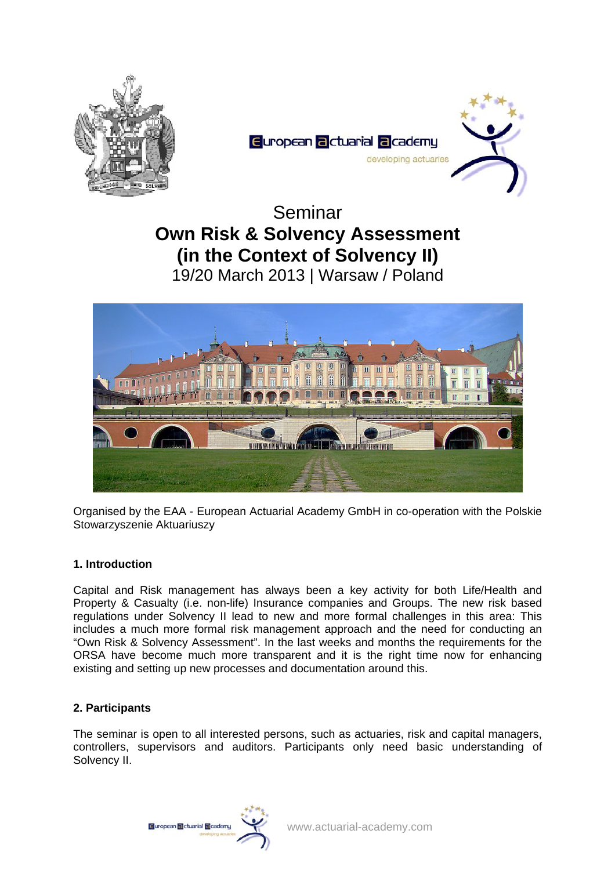



Seminar **Own Risk & Solvency Assessment (in the Context of Solvency II)**  19/20 March 2013 | Warsaw / Poland



Organised by the EAA - European Actuarial Academy GmbH in co-operation with the Polskie Stowarzyszenie Aktuariuszy

# **1. Introduction**

Capital and Risk management has always been a key activity for both Life/Health and Property & Casualty (i.e. non-life) Insurance companies and Groups. The new risk based regulations under Solvency II lead to new and more formal challenges in this area: This includes a much more formal risk management approach and the need for conducting an "Own Risk & Solvency Assessment". In the last weeks and months the requirements for the ORSA have become much more transparent and it is the right time now for enhancing existing and setting up new processes and documentation around this.

# **2. Participants**

The seminar is open to all interested persons, such as actuaries, risk and capital managers, controllers, supervisors and auditors. Participants only need basic understanding of Solvency II.

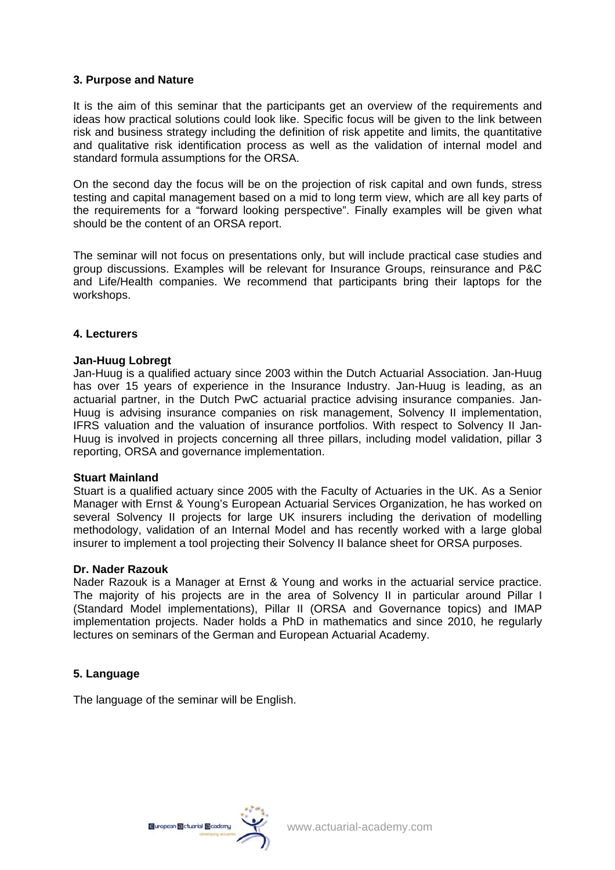### **3. Purpose and Nature**

It is the aim of this seminar that the participants get an overview of the requirements and ideas how practical solutions could look like. Specific focus will be given to the link between risk and business strategy including the definition of risk appetite and limits, the quantitative and qualitative risk identification process as well as the validation of internal model and standard formula assumptions for the ORSA.

On the second day the focus will be on the projection of risk capital and own funds, stress testing and capital management based on a mid to long term view, which are all key parts of the requirements for a "forward looking perspective". Finally examples will be given what should be the content of an ORSA report.

The seminar will not focus on presentations only, but will include practical case studies and group discussions. Examples will be relevant for Insurance Groups, reinsurance and P&C and Life/Health companies. We recommend that participants bring their laptops for the workshops.

#### **4. Lecturers**

#### **Jan-Huug Lobregt**

Jan-Huug is a qualified actuary since 2003 within the Dutch Actuarial Association. Jan-Huug has over 15 years of experience in the Insurance Industry. Jan-Huug is leading, as an actuarial partner, in the Dutch PwC actuarial practice advising insurance companies. Jan-Huug is advising insurance companies on risk management, Solvency II implementation, IFRS valuation and the valuation of insurance portfolios. With respect to Solvency II Jan-Huug is involved in projects concerning all three pillars, including model validation, pillar 3 reporting, ORSA and governance implementation.

#### **Stuart Mainland**

Stuart is a qualified actuary since 2005 with the Faculty of Actuaries in the UK. As a Senior Manager with Ernst & Young's European Actuarial Services Organization, he has worked on several Solvency II projects for large UK insurers including the derivation of modelling methodology, validation of an Internal Model and has recently worked with a large global insurer to implement a tool projecting their Solvency II balance sheet for ORSA purposes.

#### **Dr. Nader Razouk**

Nader Razouk is a Manager at Ernst & Young and works in the actuarial service practice. The majority of his projects are in the area of Solvency II in particular around Pillar I (Standard Model implementations), Pillar II (ORSA and Governance topics) and IMAP implementation projects. Nader holds a PhD in mathematics and since 2010, he regularly lectures on seminars of the German and European Actuarial Academy.

# **5. Language**

The language of the seminar will be English.

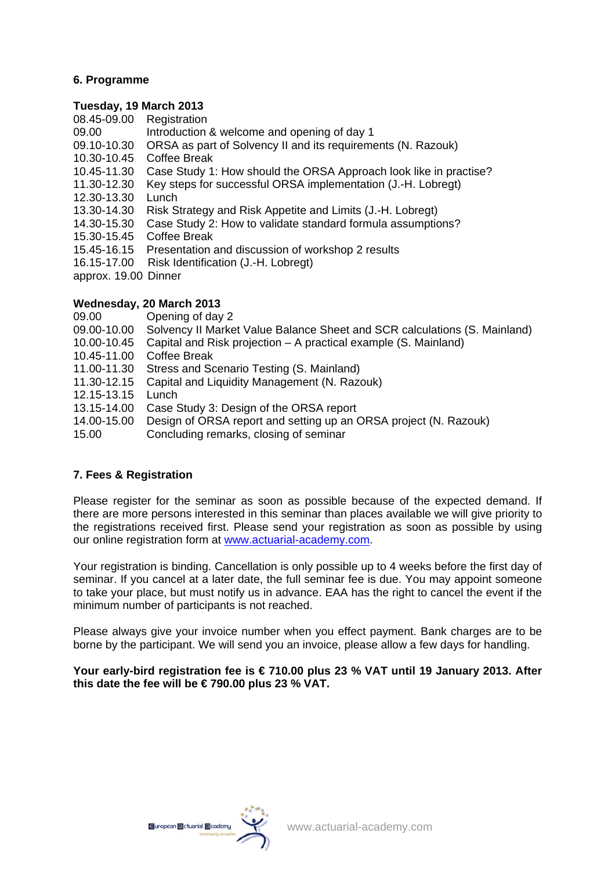# **6. Programme**

### **Tuesday, 19 March 2013**

- 08.45-09.00 Registration
- 09.00 Introduction & welcome and opening of day 1
- 09.10-10.30 ORSA as part of Solvency II and its requirements (N. Razouk)
- 10.30-10.45 Coffee Break
- 10.45-11.30 Case Study 1: How should the ORSA Approach look like in practise?
- 11.30-12.30 Key steps for successful ORSA implementation (J.-H. Lobregt)
- 12.30-13.30 Lunch
- 13.30-14.30 Risk Strategy and Risk Appetite and Limits (J.-H. Lobregt)
- 14.30-15.30 Case Study 2: How to validate standard formula assumptions?
- 15.30-15.45 Coffee Break
- 15.45-16.15 Presentation and discussion of workshop 2 results
- 16.15-17.00 Risk Identification (J.-H. Lobregt)
- approx. 19.00 Dinner

# **Wednesday, 20 March 2013**

- 09.00 Opening of day 2
- 09.00-10.00 Solvency II Market Value Balance Sheet and SCR calculations (S. Mainland)
- 10.00-10.45 Capital and Risk projection A practical example (S. Mainland)
- 10.45-11.00 Coffee Break
- 11.00-11.30 Stress and Scenario Testing (S. Mainland)
- 11.30-12.15 Capital and Liquidity Management (N. Razouk)
- 12.15-13.15 Lunch
- 13.15-14.00 Case Study 3: Design of the ORSA report
- 14.00-15.00 Design of ORSA report and setting up an ORSA project (N. Razouk)
- 15.00 Concluding remarks, closing of seminar

# **7. Fees & Registration**

Please register for the seminar as soon as possible because of the expected demand. If there are more persons interested in this seminar than places available we will give priority to the registrations received first. Please send your registration as soon as possible by using our online registration form at [www.actuarial-academy.com.](http://www.actuarial-academy.com/)

Your registration is binding. Cancellation is only possible up to 4 weeks before the first day of seminar. If you cancel at a later date, the full seminar fee is due. You may appoint someone to take your place, but must notify us in advance. EAA has the right to cancel the event if the minimum number of participants is not reached.

Please always give your invoice number when you effect payment. Bank charges are to be borne by the participant. We will send you an invoice, please allow a few days for handling.

# **Your early-bird registration fee is € 710.00 plus 23 % VAT until 19 January 2013. After this date the fee will be € 790.00 plus 23 % VAT.**